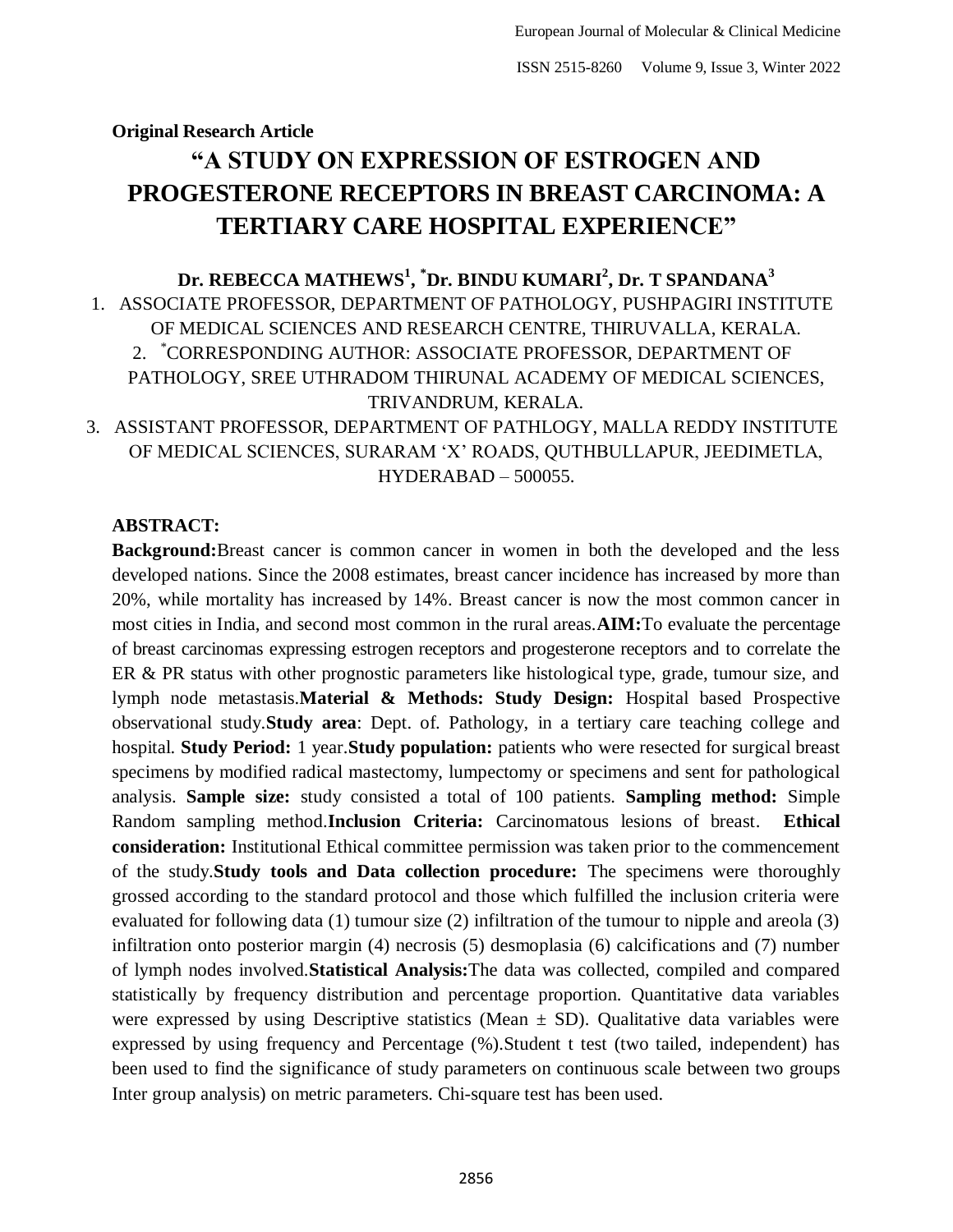# **Original Research Article "A STUDY ON EXPRESSION OF ESTROGEN AND PROGESTERONE RECEPTORS IN BREAST CARCINOMA: A TERTIARY CARE HOSPITAL EXPERIENCE"**

# **Dr. REBECCA MATHEWS<sup>1</sup> , \*Dr. BINDU KUMARI<sup>2</sup> , Dr. T SPANDANA<sup>3</sup>** 1. ASSOCIATE PROFESSOR, DEPARTMENT OF PATHOLOGY, PUSHPAGIRI INSTITUTE OF MEDICAL SCIENCES AND RESEARCH CENTRE, THIRUVALLA, KERALA. 2. \*CORRESPONDING AUTHOR: ASSOCIATE PROFESSOR, DEPARTMENT OF PATHOLOGY, SREE UTHRADOM THIRUNAL ACADEMY OF MEDICAL SCIENCES, TRIVANDRUM, KERALA.

3. ASSISTANT PROFESSOR, DEPARTMENT OF PATHLOGY, MALLA REDDY INSTITUTE OF MEDICAL SCIENCES, SURARAM "X" ROADS, QUTHBULLAPUR, JEEDIMETLA, HYDERABAD – 500055.

# **ABSTRACT:**

**Background:**Breast cancer is common cancer in women in both the developed and the less developed nations. Since the 2008 estimates, breast cancer incidence has increased by more than 20%, while mortality has increased by 14%. Breast cancer is now the most common cancer in most cities in India, and second most common in the rural areas.**AIM:**To evaluate the percentage of breast carcinomas expressing estrogen receptors and progesterone receptors and to correlate the ER & PR status with other prognostic parameters like histological type, grade, tumour size, and lymph node metastasis.**Material & Methods: Study Design:** Hospital based Prospective observational study.**Study area**: Dept. of. Pathology, in a tertiary care teaching college and hospital. **Study Period:** 1 year.**Study population:** patients who were resected for surgical breast specimens by modified radical mastectomy, lumpectomy or specimens and sent for pathological analysis. **Sample size:** study consisted a total of 100 patients. **Sampling method:** Simple Random sampling method.**Inclusion Criteria:** Carcinomatous lesions of breast. **Ethical consideration:** Institutional Ethical committee permission was taken prior to the commencement of the study.**Study tools and Data collection procedure:** The specimens were thoroughly grossed according to the standard protocol and those which fulfilled the inclusion criteria were evaluated for following data (1) tumour size (2) infiltration of the tumour to nipple and areola (3) infiltration onto posterior margin (4) necrosis (5) desmoplasia (6) calcifications and (7) number of lymph nodes involved.**Statistical Analysis:**The data was collected, compiled and compared statistically by frequency distribution and percentage proportion. Quantitative data variables were expressed by using Descriptive statistics (Mean  $\pm$  SD). Qualitative data variables were expressed by using frequency and Percentage (%).Student t test (two tailed, independent) has been used to find the significance of study parameters on continuous scale between two groups Inter group analysis) on metric parameters. Chi-square test has been used.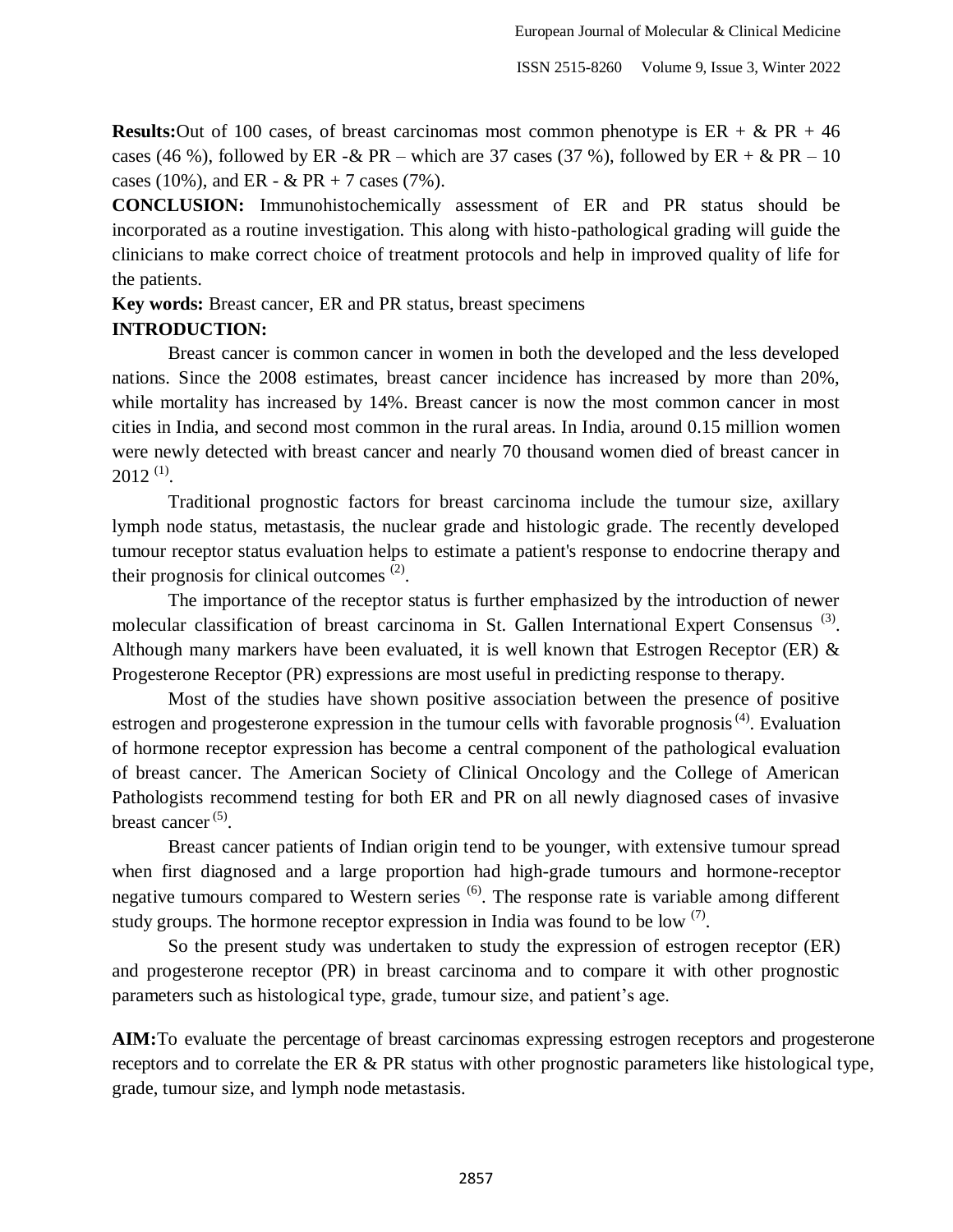**Results:** Out of 100 cases, of breast carcinomas most common phenotype is  $ER + \& PR + 46$ cases (46 %), followed by ER - & PR – which are 37 cases (37 %), followed by ER + & PR – 10 cases (10%), and ER -  $&$  PR + 7 cases (7%).

**CONCLUSION:** Immunohistochemically assessment of ER and PR status should be incorporated as a routine investigation. This along with histo-pathological grading will guide the clinicians to make correct choice of treatment protocols and help in improved quality of life for the patients.

**Key words:** Breast cancer, ER and PR status, breast specimens

# **INTRODUCTION:**

Breast cancer is common cancer in women in both the developed and the less developed nations. Since the 2008 estimates, breast cancer incidence has increased by more than 20%, while mortality has increased by 14%. Breast cancer is now the most common cancer in most cities in India, and second most common in the rural areas. In India, around 0.15 million women were newly detected with breast cancer and nearly 70 thousand women died of breast cancer in  $2012$ <sup>(1)</sup>.

Traditional prognostic factors for breast carcinoma include the tumour size, axillary lymph node status, metastasis, the nuclear grade and histologic grade. The recently developed tumour receptor status evaluation helps to estimate a patient's response to endocrine therapy and their prognosis for clinical outcomes  $(2)$ .

The importance of the receptor status is further emphasized by the introduction of newer molecular classification of breast carcinoma in St. Gallen International Expert Consensus<sup>(3)</sup>. Although many markers have been evaluated, it is well known that Estrogen Receptor (ER) & Progesterone Receptor (PR) expressions are most useful in predicting response to therapy.

Most of the studies have shown positive association between the presence of positive estrogen and progesterone expression in the tumour cells with favorable prognosis<sup> $(4)$ </sup>. Evaluation of hormone receptor expression has become a central component of the pathological evaluation of breast cancer. The American Society of Clinical Oncology and the College of American Pathologists recommend testing for both ER and PR on all newly diagnosed cases of invasive breast cancer<sup>(5)</sup>.

Breast cancer patients of Indian origin tend to be younger, with extensive tumour spread when first diagnosed and a large proportion had high-grade tumours and hormone-receptor negative tumours compared to Western series  $<sup>(6)</sup>$ . The response rate is variable among different</sup> study groups. The hormone receptor expression in India was found to be low  $(7)$ .

So the present study was undertaken to study the expression of estrogen receptor (ER) and progesterone receptor (PR) in breast carcinoma and to compare it with other prognostic parameters such as histological type, grade, tumour size, and patient's age.

**AIM:**To evaluate the percentage of breast carcinomas expressing estrogen receptors and progesterone receptors and to correlate the ER & PR status with other prognostic parameters like histological type, grade, tumour size, and lymph node metastasis.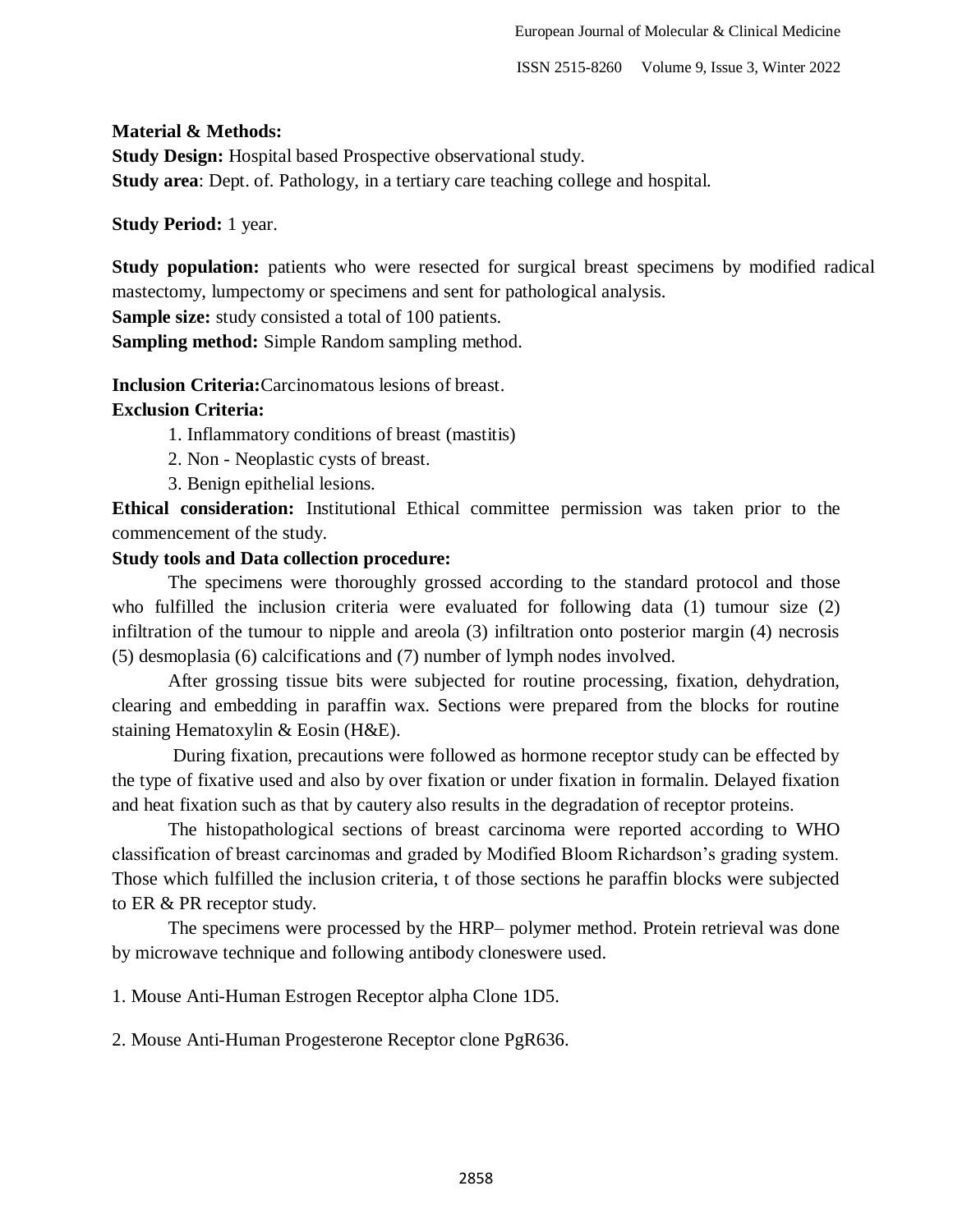### **Material & Methods:**

**Study Design:** Hospital based Prospective observational study. **Study area**: Dept. of. Pathology, in a tertiary care teaching college and hospital.

## **Study Period:** 1 year.

**Study population:** patients who were resected for surgical breast specimens by modified radical mastectomy, lumpectomy or specimens and sent for pathological analysis.

**Sample size:** study consisted a total of 100 patients.

**Sampling method:** Simple Random sampling method.

**Inclusion Criteria:**Carcinomatous lesions of breast.

## **Exclusion Criteria:**

- 1. Inflammatory conditions of breast (mastitis)
- 2. Non Neoplastic cysts of breast.
- 3. Benign epithelial lesions.

**Ethical consideration:** Institutional Ethical committee permission was taken prior to the commencement of the study.

## **Study tools and Data collection procedure:**

The specimens were thoroughly grossed according to the standard protocol and those who fulfilled the inclusion criteria were evaluated for following data (1) tumour size (2) infiltration of the tumour to nipple and areola (3) infiltration onto posterior margin (4) necrosis (5) desmoplasia (6) calcifications and (7) number of lymph nodes involved.

After grossing tissue bits were subjected for routine processing, fixation, dehydration, clearing and embedding in paraffin wax. Sections were prepared from the blocks for routine staining Hematoxylin & Eosin (H&E).

During fixation, precautions were followed as hormone receptor study can be effected by the type of fixative used and also by over fixation or under fixation in formalin. Delayed fixation and heat fixation such as that by cautery also results in the degradation of receptor proteins.

The histopathological sections of breast carcinoma were reported according to WHO classification of breast carcinomas and graded by Modified Bloom Richardson"s grading system. Those which fulfilled the inclusion criteria, t of those sections he paraffin blocks were subjected to ER & PR receptor study.

The specimens were processed by the HRP– polymer method. Protein retrieval was done by microwave technique and following antibody cloneswere used.

1. Mouse Anti-Human Estrogen Receptor alpha Clone 1D5.

2. Mouse Anti-Human Progesterone Receptor clone PgR636.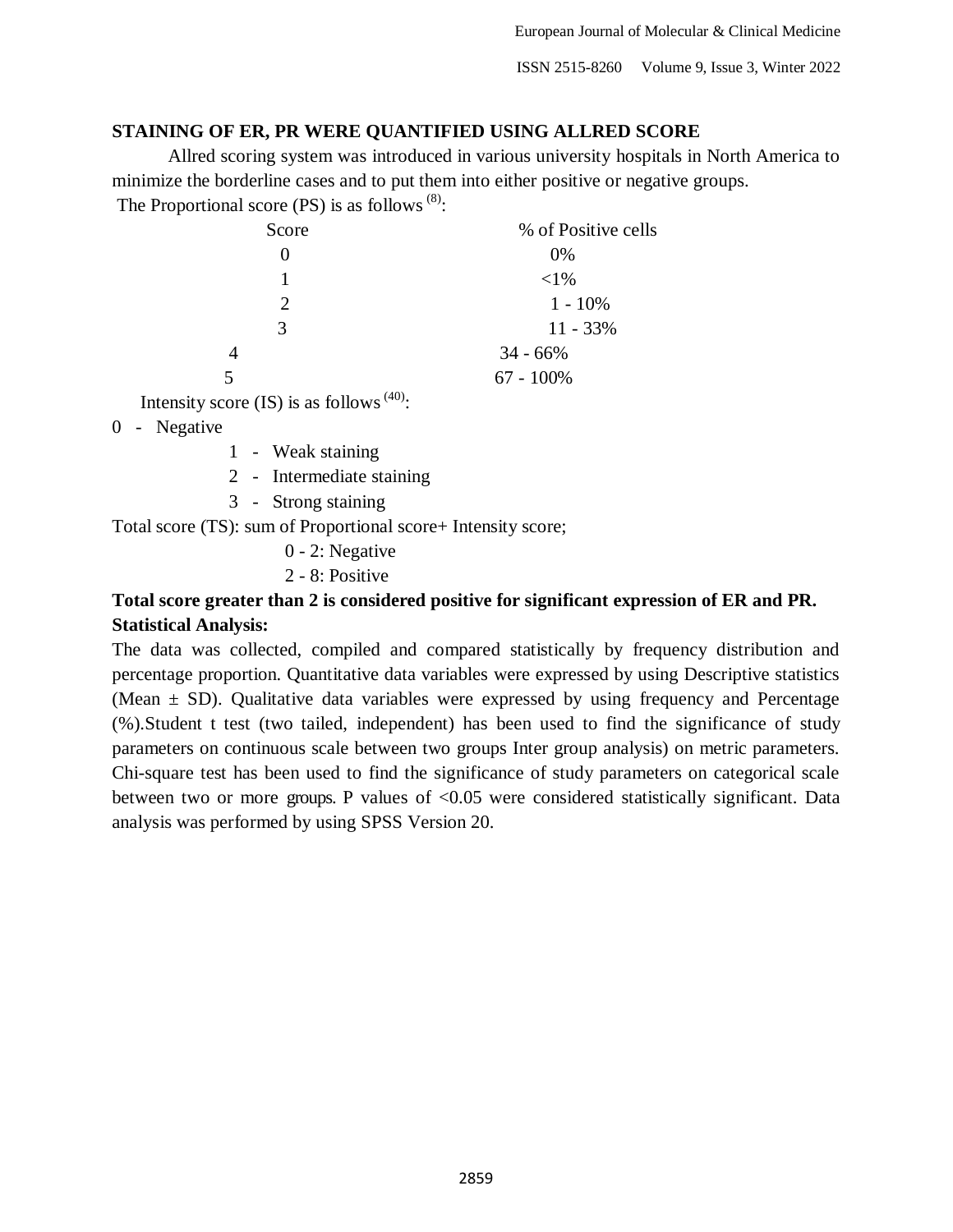## **STAINING OF ER, PR WERE QUANTIFIED USING ALLRED SCORE**

Allred scoring system was introduced in various university hospitals in North America to minimize the borderline cases and to put them into either positive or negative groups. The Proportional score (PS) is as follows  $(8)$ :

| Score | % of Positive cells |
|-------|---------------------|
|       | 0%                  |
|       | $<$ 1%              |
| 2     | $1 - 10\%$          |
| 3     | $11 - 33%$          |
| 4     | $34 - 66%$          |
| 5     | $67 - 100\%$        |
| .     |                     |

Intensity score (IS) is as follows  $(40)$ :

## 0 - Negative

- 1 Weak staining
- 2 Intermediate staining
- 3 Strong staining

Total score (TS): sum of Proportional score+ Intensity score;

- 0 2: Negative
- 2 8: Positive

# **Total score greater than 2 is considered positive for significant expression of ER and PR. Statistical Analysis:**

The data was collected, compiled and compared statistically by frequency distribution and percentage proportion. Quantitative data variables were expressed by using Descriptive statistics (Mean  $\pm$  SD). Qualitative data variables were expressed by using frequency and Percentage (%).Student t test (two tailed, independent) has been used to find the significance of study parameters on continuous scale between two groups Inter group analysis) on metric parameters. Chi-square test has been used to find the significance of study parameters on categorical scale between two or more groups. P values of <0.05 were considered statistically significant. Data analysis was performed by using SPSS Version 20.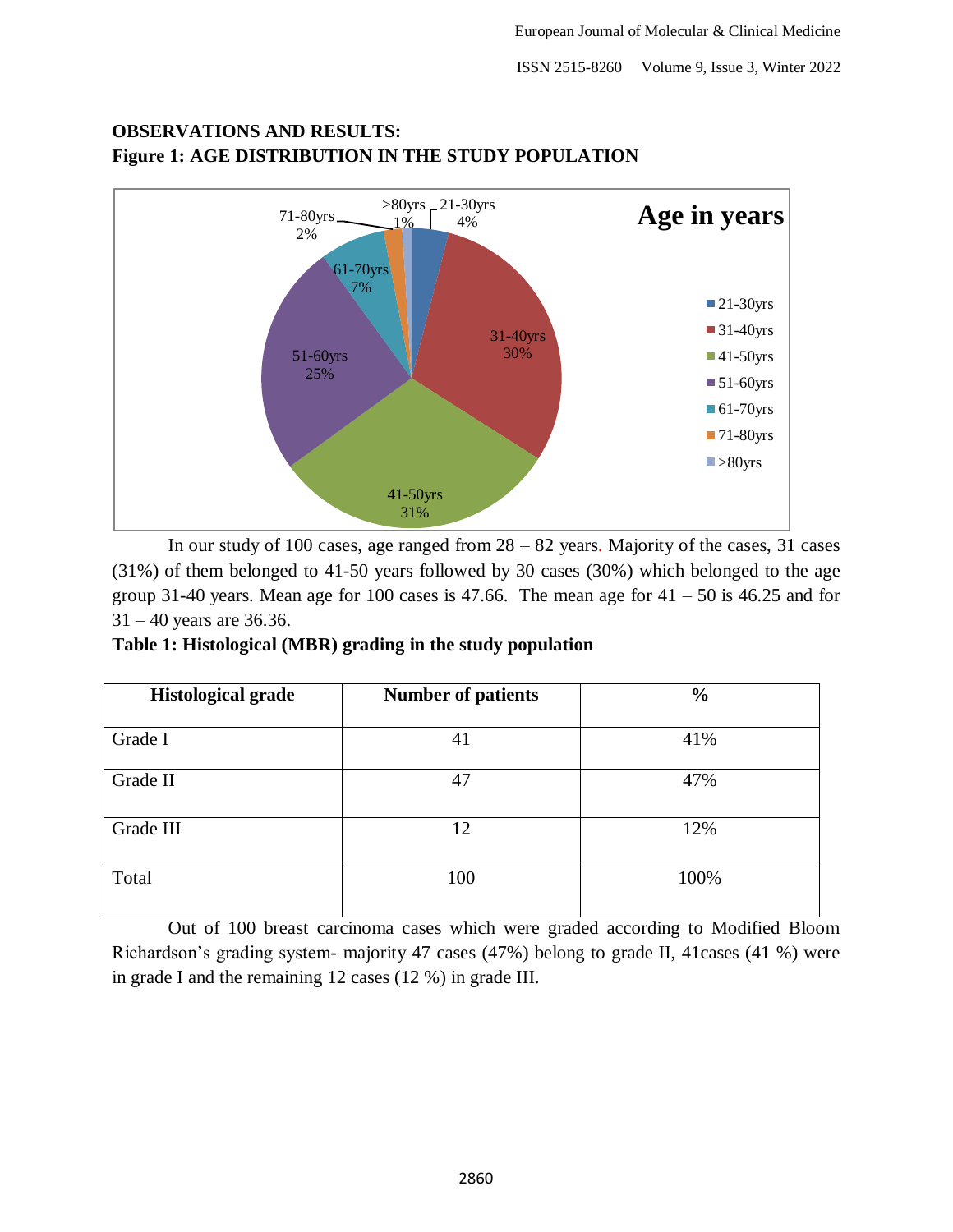

# **OBSERVATIONS AND RESULTS: Figure 1: AGE DISTRIBUTION IN THE STUDY POPULATION**

In our study of 100 cases, age ranged from 28 – 82 years. Majority of the cases, 31 cases (31%) of them belonged to 41-50 years followed by 30 cases (30%) which belonged to the age group 31-40 years. Mean age for 100 cases is 47.66. The mean age for  $41 - 50$  is 46.25 and for 31 – 40 years are 36.36.

**Table 1: Histological (MBR) grading in the study population**

| <b>Histological grade</b> | <b>Number of patients</b> | $\frac{6}{9}$ |
|---------------------------|---------------------------|---------------|
| Grade I                   | 41                        | 41%           |
| Grade II                  | 47                        | 47%           |
| Grade III                 | 12                        | 12%           |
| Total                     | 100                       | 100%          |

Out of 100 breast carcinoma cases which were graded according to Modified Bloom Richardson"s grading system- majority 47 cases (47%) belong to grade II, 41cases (41 %) were in grade I and the remaining 12 cases (12 %) in grade III.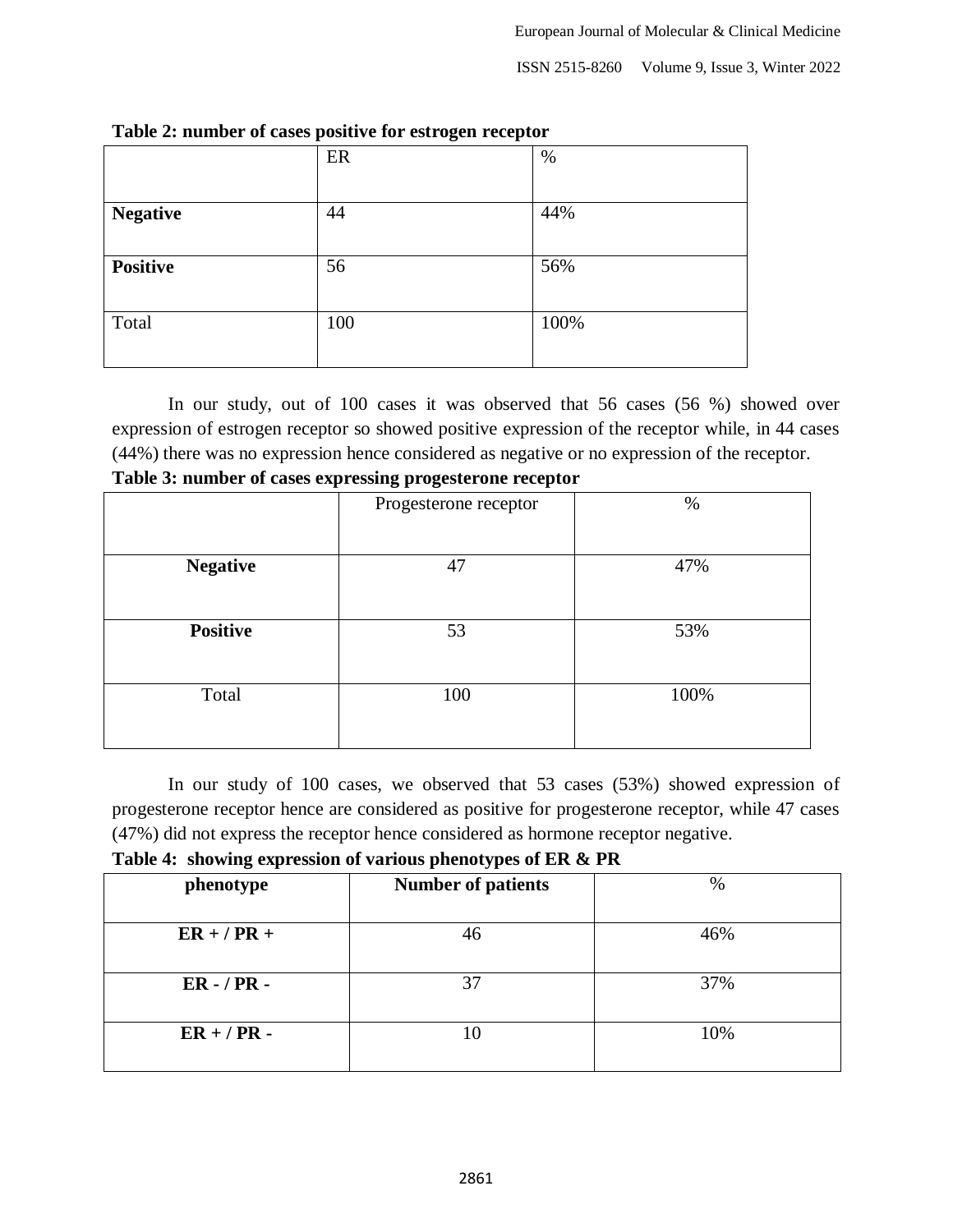|                 | ER  | $\%$ |
|-----------------|-----|------|
|                 |     |      |
| <b>Negative</b> | 44  | 44%  |
|                 |     |      |
| <b>Positive</b> | 56  | 56%  |
|                 |     |      |
| Total           | 100 | 100% |
|                 |     |      |

### **Table 2: number of cases positive for estrogen receptor**

In our study, out of 100 cases it was observed that 56 cases (56 %) showed over expression of estrogen receptor so showed positive expression of the receptor while, in 44 cases (44%) there was no expression hence considered as negative or no expression of the receptor.

|  | Table 3: number of cases expressing progesterone receptor |
|--|-----------------------------------------------------------|
|  |                                                           |

|                 | Progesterone receptor | $\%$ |
|-----------------|-----------------------|------|
|                 |                       |      |
| <b>Negative</b> | 47                    | 47%  |
|                 |                       |      |
| <b>Positive</b> | 53                    | 53%  |
|                 |                       |      |
| Total           | 100                   | 100% |
|                 |                       |      |

In our study of 100 cases, we observed that 53 cases (53%) showed expression of progesterone receptor hence are considered as positive for progesterone receptor, while 47 cases (47%) did not express the receptor hence considered as hormone receptor negative.

**Table 4: showing expression of various phenotypes of ER & PR**

|               | . .                       |      |
|---------------|---------------------------|------|
| phenotype     | <b>Number of patients</b> | $\%$ |
| $ER + / PR +$ | 46                        | 46%  |
| $ER - / PR -$ | 37                        | 37%  |
| $ER + / PR -$ |                           | 10%  |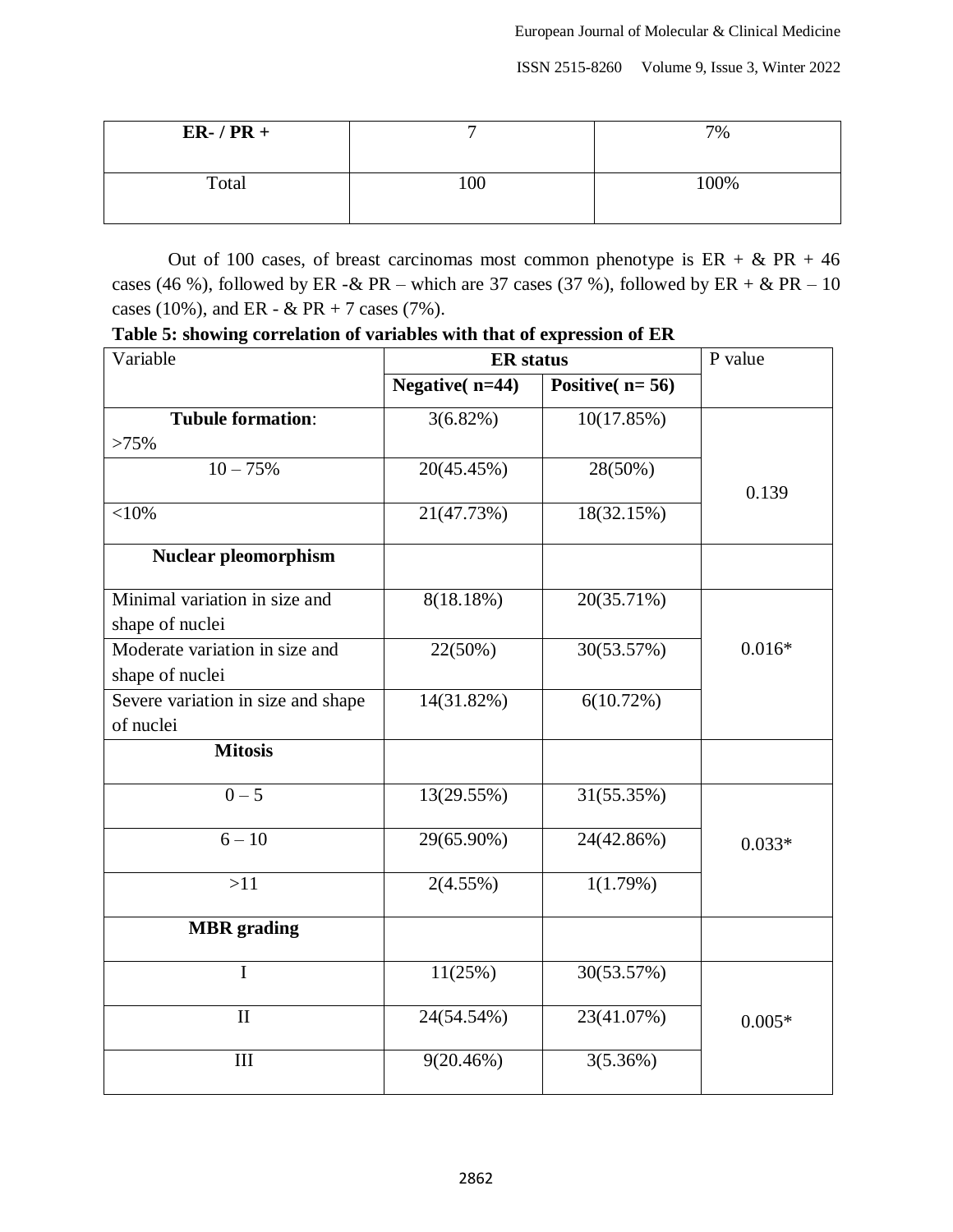| $ER-$ / $PR +$ |    | 7%   |
|----------------|----|------|
| Total          | 00 | 100% |

Out of 100 cases, of breast carcinomas most common phenotype is  $ER + \& PR + 46$ cases (46 %), followed by ER -& PR – which are 37 cases (37 %), followed by ER + & PR – 10 cases (10%), and ER - & PR + 7 cases (7%).

**Table 5: showing correlation of variables with that of expression of ER**

| Variable                                          | <b>ER</b> status  |                          | P value  |
|---------------------------------------------------|-------------------|--------------------------|----------|
|                                                   | Negative $(n=44)$ | Positive( $n=56$ )       |          |
| <b>Tubule formation:</b>                          | $3(6.82\%)$       | $\overline{10}(17.85\%)$ |          |
| >75%                                              |                   |                          |          |
| $10 - 75%$                                        | 20(45.45%)        | $28(50\%)$               | 0.139    |
| ${<}10\%$                                         | 21(47.73%)        | 18(32.15%)               |          |
| <b>Nuclear pleomorphism</b>                       |                   |                          |          |
| Minimal variation in size and<br>shape of nuclei  | 8(18.18%)         | 20(35.71%)               |          |
| Moderate variation in size and<br>shape of nuclei | 22(50%)           | 30(53.57%)               | $0.016*$ |
| Severe variation in size and shape                | 14(31.82%)        | 6(10.72%)                |          |
| of nuclei                                         |                   |                          |          |
| <b>Mitosis</b>                                    |                   |                          |          |
| $0 - 5$                                           | 13(29.55%)        | 31(55.35%)               |          |
| $6 - 10$                                          | 29(65.90%)        | 24(42.86%)               | $0.033*$ |
| >11                                               | $2(4.55\%)$       | 1(1.79%)                 |          |
| <b>MBR</b> grading                                |                   |                          |          |
| $\mathbf I$                                       | 11(25%)           | 30(53.57%)               |          |
| $\mathbf{I}$                                      | 24(54.54%)        | 23(41.07%)               | $0.005*$ |
| III                                               | 9(20.46%)         | 3(5.36%)                 |          |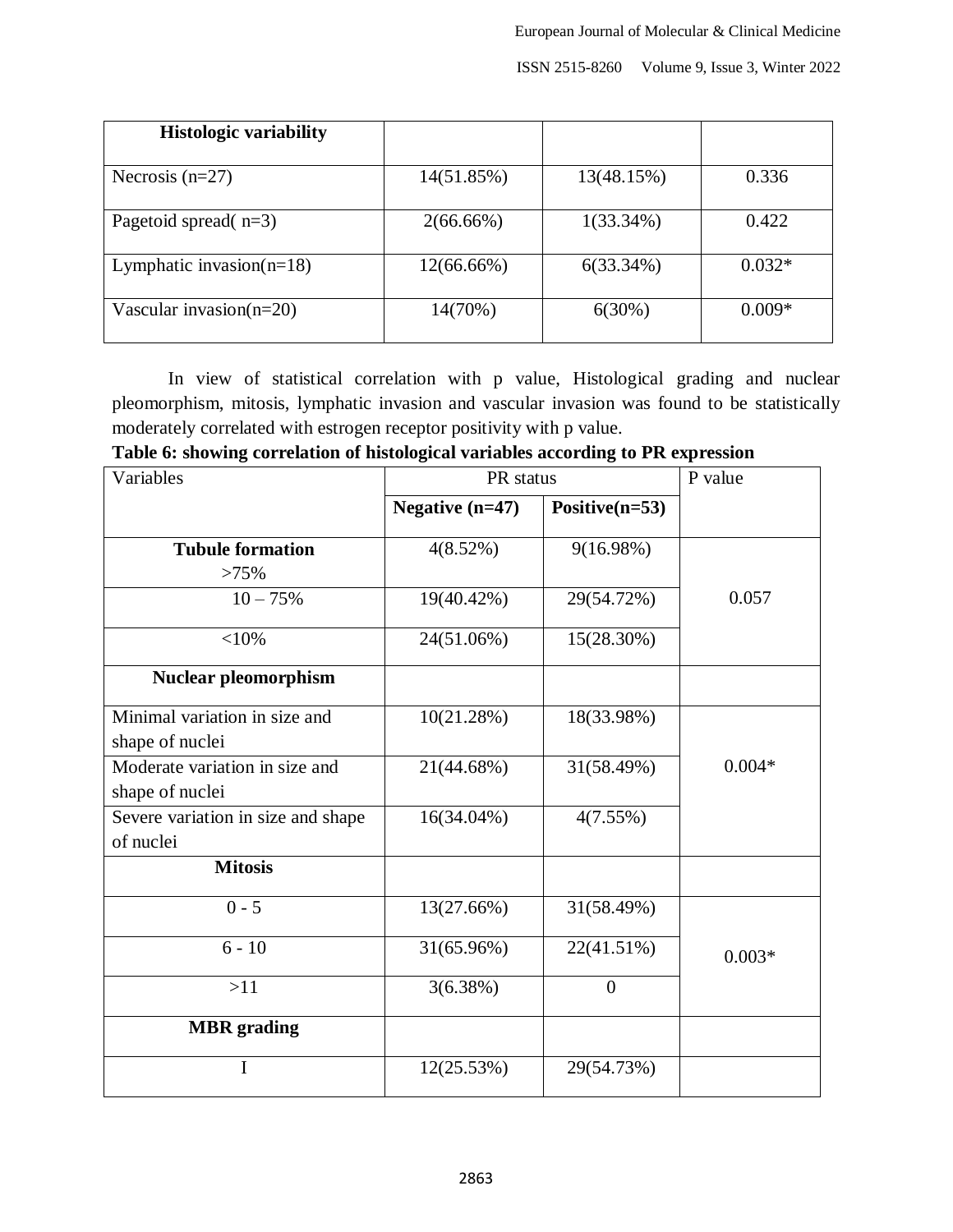| <b>Histologic variability</b> |              |              |          |
|-------------------------------|--------------|--------------|----------|
| Necrosis $(n=27)$             | 14(51.85%)   | 13(48.15%)   | 0.336    |
| Pagetoid spread( $n=3$ )      | $2(66.66\%)$ | $1(33.34\%)$ | 0.422    |
| Lymphatic invasion( $n=18$ )  | 12(66.66%)   | 6(33.34%)    | $0.032*$ |
| Vascular invasion( $n=20$ )   | 14(70%)      | 6(30%)       | $0.009*$ |

In view of statistical correlation with p value, Histological grading and nuclear pleomorphism, mitosis, lymphatic invasion and vascular invasion was found to be statistically moderately correlated with estrogen receptor positivity with p value.

|  |  |  | Table 6: showing correlation of histological variables according to PR expression |
|--|--|--|-----------------------------------------------------------------------------------|
|  |  |  |                                                                                   |

| Variables                                         | PR status       | P value           |          |
|---------------------------------------------------|-----------------|-------------------|----------|
|                                                   | Negative (n=47) | Positive $(n=53)$ |          |
| <b>Tubule formation</b><br>>75%                   | 4(8.52%)        | $9(16.98\%)$      |          |
| $10 - 75%$                                        | 19(40.42%)      | 29(54.72%)        | 0.057    |
| $<$ 10%                                           | 24(51.06%)      | 15(28.30%)        |          |
| <b>Nuclear pleomorphism</b>                       |                 |                   |          |
| Minimal variation in size and<br>shape of nuclei  | 10(21.28%)      | 18(33.98%)        |          |
| Moderate variation in size and<br>shape of nuclei | 21(44.68%)      | 31(58.49%)        | $0.004*$ |
| Severe variation in size and shape<br>of nuclei   | 16(34.04%)      | 4(7.55%)          |          |
| <b>Mitosis</b>                                    |                 |                   |          |
| $0 - 5$                                           | 13(27.66%)      | 31(58.49%)        |          |
| $6 - 10$                                          | 31(65.96%)      | 22(41.51%)        | $0.003*$ |
| >11                                               | 3(6.38%)        | $\boldsymbol{0}$  |          |
| <b>MBR</b> grading                                |                 |                   |          |
| I                                                 | 12(25.53%)      | 29(54.73%)        |          |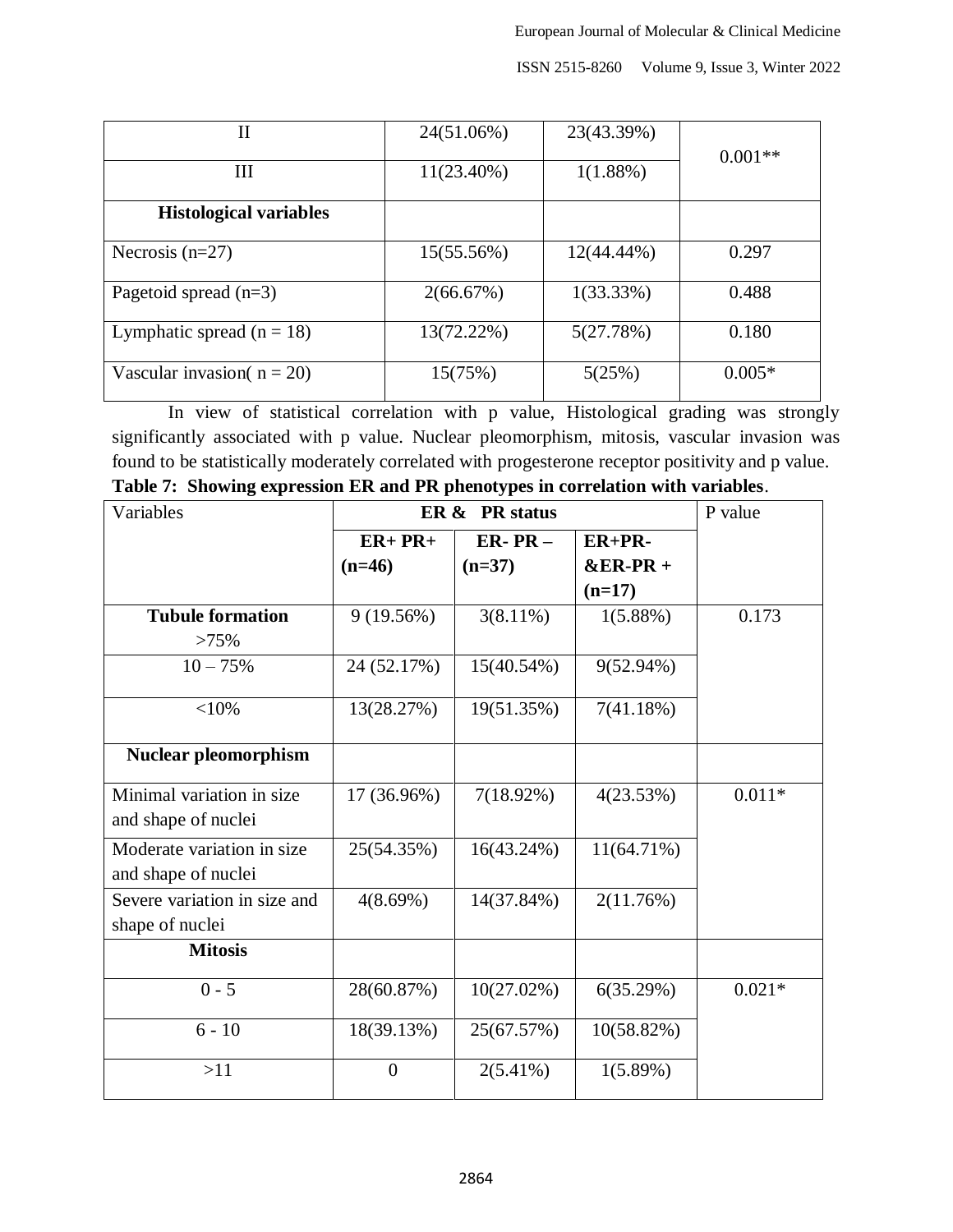| П                             | 24(51.06%) | 23(43.39%)    |           |
|-------------------------------|------------|---------------|-----------|
|                               |            |               | $0.001**$ |
| Ш                             | 11(23.40%) | $1(1.88\%)$   |           |
| <b>Histological variables</b> |            |               |           |
| Necrosis $(n=27)$             | 15(55.56%) | $12(44.44\%)$ | 0.297     |
| Pagetoid spread $(n=3)$       | 2(66.67%)  | $1(33.33\%)$  | 0.488     |
| Lymphatic spread $(n = 18)$   | 13(72.22%) | 5(27.78%)     | 0.180     |
| Vascular invasion( $n = 20$ ) | 15(75%)    | 5(25%)        | $0.005*$  |

In view of statistical correlation with p value, Histological grading was strongly significantly associated with p value. Nuclear pleomorphism, mitosis, vascular invasion was found to be statistically moderately correlated with progesterone receptor positivity and p value. **Table 7: Showing expression ER and PR phenotypes in correlation with variables**.

| Variables                    | ER & PR status   |               |               | P value  |
|------------------------------|------------------|---------------|---------------|----------|
|                              | $ER+PR+$         | $ER-PR-$      | $ER+PR-$      |          |
|                              | $(n=46)$         | $(n=37)$      | $&ER-PR +$    |          |
|                              |                  |               | $(n=17)$      |          |
| <b>Tubule formation</b>      | 9(19.56%)        | $3(8.11\%)$   | $1(5.88\%)$   | 0.173    |
| >75%                         |                  |               |               |          |
| $10 - 75%$                   | 24 (52.17%)      | 15(40.54%)    | $9(52.94\%)$  |          |
| $<$ 10%                      | 13(28.27%)       | 19(51.35%)    | 7(41.18%)     |          |
| <b>Nuclear pleomorphism</b>  |                  |               |               |          |
| Minimal variation in size    | 17 (36.96%)      | $7(18.92\%)$  | 4(23.53%)     | $0.011*$ |
| and shape of nuclei          |                  |               |               |          |
| Moderate variation in size   | 25(54.35%)       | 16(43.24%)    | $11(64.71\%)$ |          |
| and shape of nuclei          |                  |               |               |          |
| Severe variation in size and | 4(8.69%)         | 14(37.84%)    | 2(11.76%)     |          |
| shape of nuclei              |                  |               |               |          |
| <b>Mitosis</b>               |                  |               |               |          |
| $0 - 5$                      | 28(60.87%)       | $10(27.02\%)$ | 6(35.29%)     | $0.021*$ |
| $6 - 10$                     | 18(39.13%)       | 25(67.57%)    | 10(58.82%)    |          |
| >11                          | $\boldsymbol{0}$ | $2(5.41\%)$   | 1(5.89%)      |          |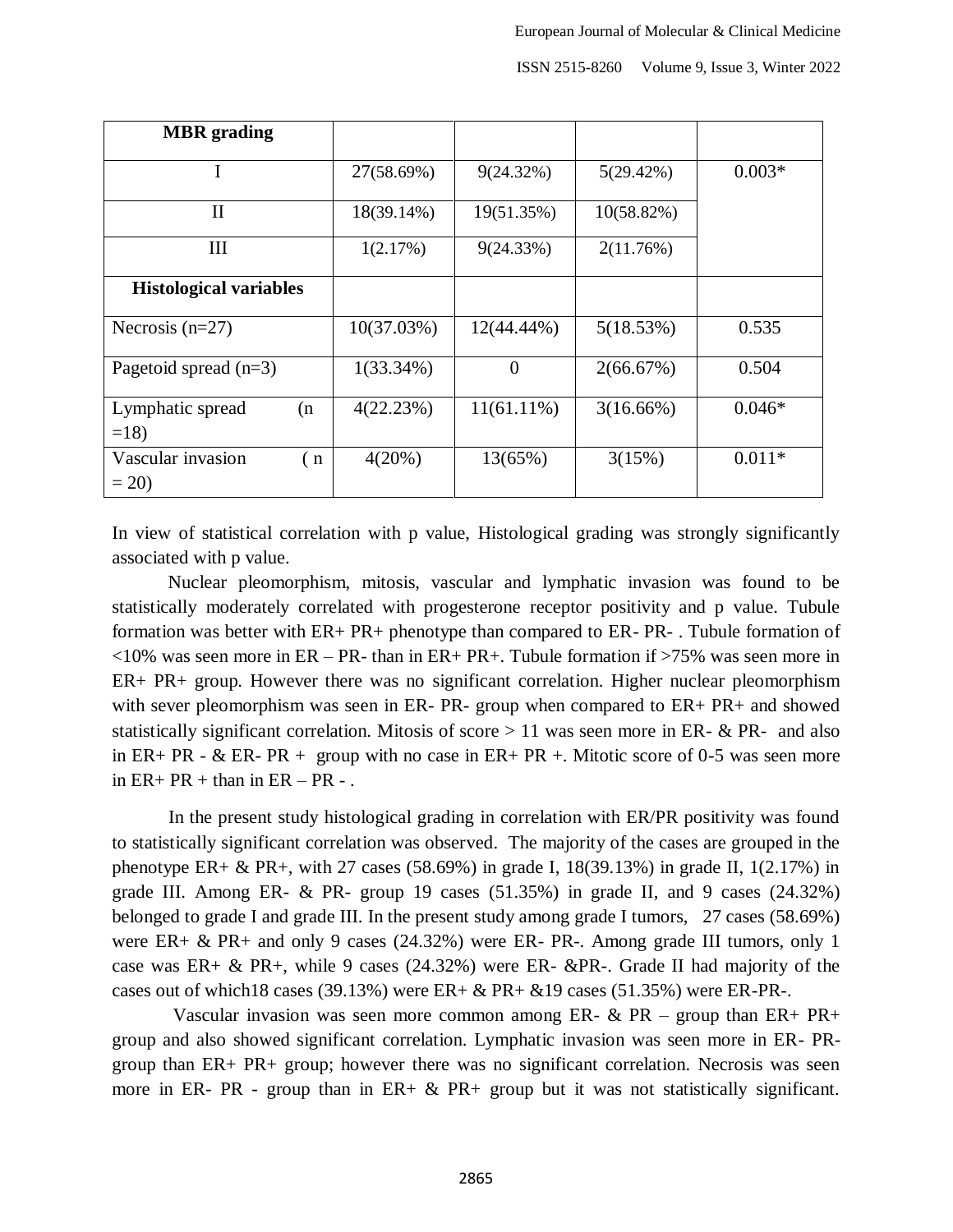| <b>MBR</b> grading                 |              |               |              |          |
|------------------------------------|--------------|---------------|--------------|----------|
|                                    | 27(58.69%)   | 9(24.32%)     | 5(29.42%)    | $0.003*$ |
| $\mathbf{I}$                       | 18(39.14%)   | 19(51.35%)    | 10(58.82%)   |          |
| Ш                                  | 1(2.17%)     | 9(24.33%)     | 2(11.76%)    |          |
| <b>Histological variables</b>      |              |               |              |          |
| Necrosis $(n=27)$                  | 10(37.03%)   | 12(44.44%)    | 5(18.53%)    | 0.535    |
| Pagetoid spread $(n=3)$            | $1(33.34\%)$ | $\theta$      | 2(66.67%)    | 0.504    |
| Lymphatic spread<br>(n)<br>$=18$   | 4(22.23%)    | $11(61.11\%)$ | $3(16.66\%)$ | $0.046*$ |
| Vascular invasion<br>(n)<br>$= 20$ | 4(20%)       | 13(65%)       | 3(15%)       | $0.011*$ |

In view of statistical correlation with p value, Histological grading was strongly significantly associated with p value.

Nuclear pleomorphism, mitosis, vascular and lymphatic invasion was found to be statistically moderately correlated with progesterone receptor positivity and p value. Tubule formation was better with ER+ PR+ phenotype than compared to ER- PR- . Tubule formation of  $\langle 10\%$  was seen more in ER – PR- than in ER+ PR+. Tubule formation if  $>75\%$  was seen more in ER+ PR+ group. However there was no significant correlation. Higher nuclear pleomorphism with sever pleomorphism was seen in ER- PR- group when compared to ER+ PR+ and showed statistically significant correlation. Mitosis of score  $> 11$  was seen more in ER- & PR- and also in ER+ PR -  $\&$  ER- PR + group with no case in ER+ PR +. Mitotic score of 0-5 was seen more in  $ER+ PR +$  than in  $ER - PR -$ .

 In the present study histological grading in correlation with ER/PR positivity was found to statistically significant correlation was observed. The majority of the cases are grouped in the phenotype ER+ & PR+, with 27 cases (58.69%) in grade I,  $18(39.13\%)$  in grade II,  $1(2.17\%)$  in grade III. Among ER-  $\&$  PR- group 19 cases (51.35%) in grade II, and 9 cases (24.32%) belonged to grade I and grade III. In the present study among grade I tumors, 27 cases (58.69%) were ER+ & PR+ and only 9 cases (24.32%) were ER- PR-. Among grade III tumors, only 1 case was ER+  $\&$  PR+, while 9 cases (24.32%) were ER-  $\&$ PR-. Grade II had majority of the cases out of which 18 cases (39.13%) were  $ER + \& PR + \&19$  cases (51.35%) were  $ER$ - $PR$ -.

Vascular invasion was seen more common among ER-  $\&$  PR – group than ER+ PR+ group and also showed significant correlation. Lymphatic invasion was seen more in ER- PRgroup than ER+ PR+ group; however there was no significant correlation. Necrosis was seen more in ER- PR - group than in ER+  $\&$  PR+ group but it was not statistically significant.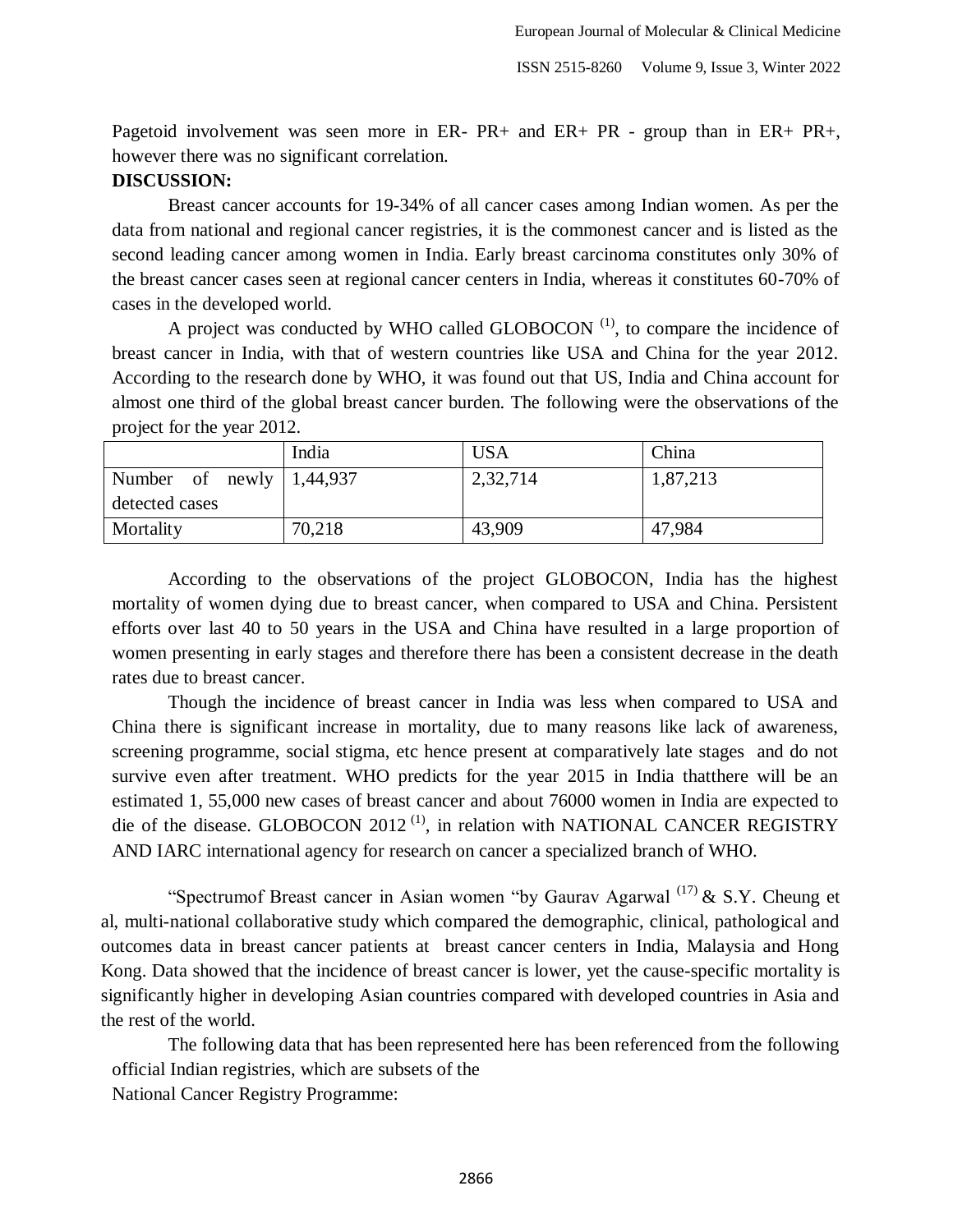Pagetoid involvement was seen more in ER- PR+ and ER+ PR - group than in ER+ PR+, however there was no significant correlation.

## **DISCUSSION:**

Breast cancer accounts for 19-34% of all cancer cases among Indian women. As per the data from national and regional cancer registries, it is the commonest cancer and is listed as the second leading cancer among women in India. Early breast carcinoma constitutes only 30% of the breast cancer cases seen at regional cancer centers in India, whereas it constitutes 60-70% of cases in the developed world.

A project was conducted by WHO called GLOBOCON  $<sup>(1)</sup>$ , to compare the incidence of</sup> breast cancer in India, with that of western countries like USA and China for the year 2012. According to the research done by WHO, it was found out that US, India and China account for almost one third of the global breast cancer burden. The following were the observations of the project for the year 2012.

|                                  | India  | <b>USA</b> | China    |
|----------------------------------|--------|------------|----------|
| Number of newly $\vert$ 1,44,937 |        | 2,32,714   | 1,87,213 |
| detected cases                   |        |            |          |
| Mortality                        | 70,218 | 43,909     | 47,984   |

According to the observations of the project GLOBOCON, India has the highest mortality of women dying due to breast cancer, when compared to USA and China. Persistent efforts over last 40 to 50 years in the USA and China have resulted in a large proportion of women presenting in early stages and therefore there has been a consistent decrease in the death rates due to breast cancer.

Though the incidence of breast cancer in India was less when compared to USA and China there is significant increase in mortality, due to many reasons like lack of awareness, screening programme, social stigma, etc hence present at comparatively late stages and do not survive even after treatment. WHO predicts for the year 2015 in India thatthere will be an estimated 1, 55,000 new cases of breast cancer and about 76000 women in India are expected to die of the disease. GLOBOCON 2012<sup>(1)</sup>, in relation with NATIONAL CANCER REGISTRY AND IARC international agency for research on cancer a specialized branch of WHO.

"Spectrumof Breast cancer in Asian women "by Gaurav Agarwal  $^{(17)}$  & S.Y. Cheung et al, multi-national collaborative study which compared the demographic, clinical, pathological and outcomes data in breast cancer patients at breast cancer centers in India, Malaysia and Hong Kong. Data showed that the incidence of breast cancer is lower, yet the cause-specific mortality is significantly higher in developing Asian countries compared with developed countries in Asia and the rest of the world.

The following data that has been represented here has been referenced from the following official Indian registries, which are subsets of the National Cancer Registry Programme:

2866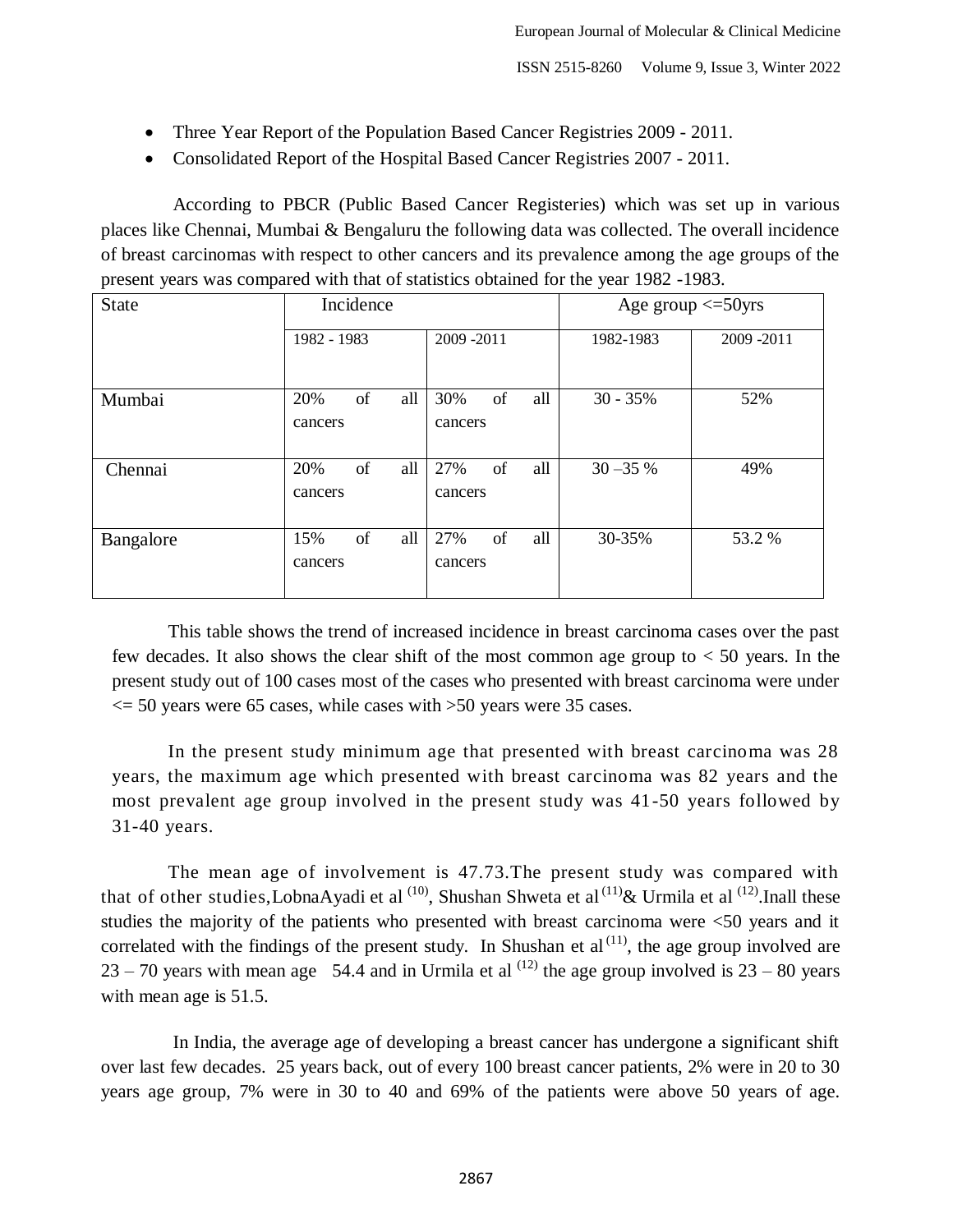- Three Year Report of the Population Based Cancer Registries 2009 2011.
- Consolidated Report of the Hospital Based Cancer Registries 2007 2011.

According to PBCR (Public Based Cancer Registeries) which was set up in various places like Chennai, Mumbai & Bengaluru the following data was collected. The overall incidence of breast carcinomas with respect to other cancers and its prevalence among the age groups of the present years was compared with that of statistics obtained for the year 1982 -1983.

| <b>State</b> | Incidence            |                                    |             | Age group $\leq$ 50yrs |  |
|--------------|----------------------|------------------------------------|-------------|------------------------|--|
|              | 1982 - 1983          | 2009-2011                          | 1982-1983   | 2009 - 2011            |  |
| Mumbai       | of<br>20%<br>cancers | all<br>30%<br>of<br>all<br>cancers | $30 - 35%$  | 52%                    |  |
| Chennai      | of<br>20%<br>cancers | of<br>all<br>27%<br>all<br>cancers | $30 - 35 %$ | 49%                    |  |
| Bangalore    | of<br>15%<br>cancers | 27%<br>of<br>all<br>all<br>cancers | 30-35%      | 53.2 %                 |  |

This table shows the trend of increased incidence in breast carcinoma cases over the past few decades. It also shows the clear shift of the most common age group to < 50 years. In the present study out of 100 cases most of the cases who presented with breast carcinoma were under  $\le$  50 years were 65 cases, while cases with  $>$ 50 years were 35 cases.

In the present study minimum age that presented with breast carcinoma was 28 years, the maximum age which presented with breast carcinoma was 82 years and the most prevalent age group involved in the present study was 41-50 years followed by 31-40 years.

The mean age of involvement is 47.73.The present study was compared with that of other studies, LobnaAyadi et al  $^{(10)}$ , Shushan Shweta et al  $^{(11)}$ & Urmila et al  $^{(12)}$ . Inall these studies the majority of the patients who presented with breast carcinoma were <50 years and it correlated with the findings of the present study. In Shushan et al $^{(11)}$ , the age group involved are 23 – 70 years with mean age 54.4 and in Urmila et al  $^{(12)}$  the age group involved is 23 – 80 years with mean age is 51.5.

In India, the average age of developing a breast cancer has undergone a significant shift over last few decades. 25 years back, out of every 100 breast cancer patients, 2% were in 20 to 30 years age group, 7% were in 30 to 40 and 69% of the patients were above 50 years of age.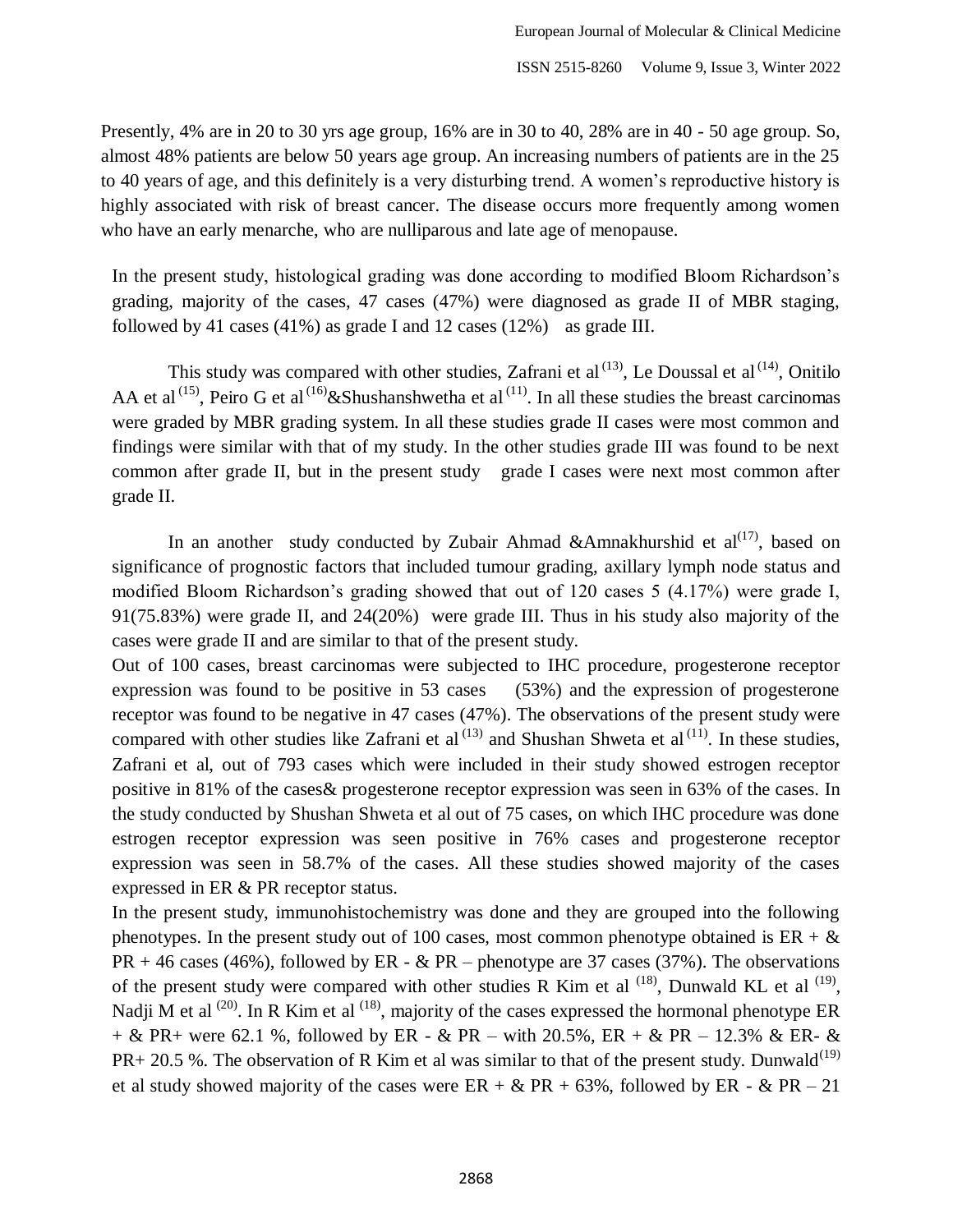Presently, 4% are in 20 to 30 yrs age group, 16% are in 30 to 40, 28% are in 40 - 50 age group. So, almost 48% patients are below 50 years age group. An increasing numbers of patients are in the 25 to 40 years of age, and this definitely is a very disturbing trend. A women"s reproductive history is highly associated with risk of breast cancer. The disease occurs more frequently among women who have an early menarche, who are nulliparous and late age of menopause.

In the present study, histological grading was done according to modified Bloom Richardson"s grading, majority of the cases, 47 cases (47%) were diagnosed as grade II of MBR staging, followed by 41 cases (41%) as grade I and 12 cases (12%) as grade III.

This study was compared with other studies, Zafrani et al  $(13)$ , Le Doussal et al  $(14)$ , Onitilo AA et al<sup>(15)</sup>, Peiro G et al<sup>(16)</sup> & Shushanshwetha et al<sup>(11)</sup>. In all these studies the breast carcinomas were graded by MBR grading system. In all these studies grade II cases were most common and findings were similar with that of my study. In the other studies grade III was found to be next common after grade II, but in the present study grade I cases were next most common after grade II.

In an another study conducted by Zubair Ahmad &Amnakhurshid et al<sup>(17)</sup>, based on significance of prognostic factors that included tumour grading, axillary lymph node status and modified Bloom Richardson"s grading showed that out of 120 cases 5 (4.17%) were grade I, 91(75.83%) were grade II, and 24(20%) were grade III. Thus in his study also majority of the cases were grade II and are similar to that of the present study.

Out of 100 cases, breast carcinomas were subjected to IHC procedure, progesterone receptor expression was found to be positive in 53 cases (53%) and the expression of progesterone receptor was found to be negative in 47 cases (47%). The observations of the present study were compared with other studies like Zafrani et al  $(13)$  and Shushan Shweta et al  $(11)$ . In these studies, Zafrani et al, out of 793 cases which were included in their study showed estrogen receptor positive in 81% of the cases& progesterone receptor expression was seen in 63% of the cases. In the study conducted by Shushan Shweta et al out of 75 cases, on which IHC procedure was done estrogen receptor expression was seen positive in 76% cases and progesterone receptor expression was seen in 58.7% of the cases. All these studies showed majority of the cases expressed in ER & PR receptor status.

In the present study, immunohistochemistry was done and they are grouped into the following phenotypes. In the present study out of 100 cases, most common phenotype obtained is  $ER + \&$  $PR + 46$  cases (46%), followed by  $ER - \& PR -$  phenotype are 37 cases (37%). The observations of the present study were compared with other studies R Kim et al  $^{(18)}$ , Dunwald KL et al  $^{(19)}$ , Nadji M et al  $^{(20)}$ . In R Kim et al  $^{(18)}$ , majority of the cases expressed the hormonal phenotype ER  $+ \&$  PR + were 62.1 %, followed by ER -  $\&$  PR – with 20.5%, ER +  $\&$  PR – 12.3%  $\&$  ER-  $\&$  $PR+ 20.5$  %. The observation of R Kim et al was similar to that of the present study. Dunwald<sup>(19)</sup> et al study showed majority of the cases were  $ER + \& PR + 63\%$ , followed by  $ER - \& PR - 21$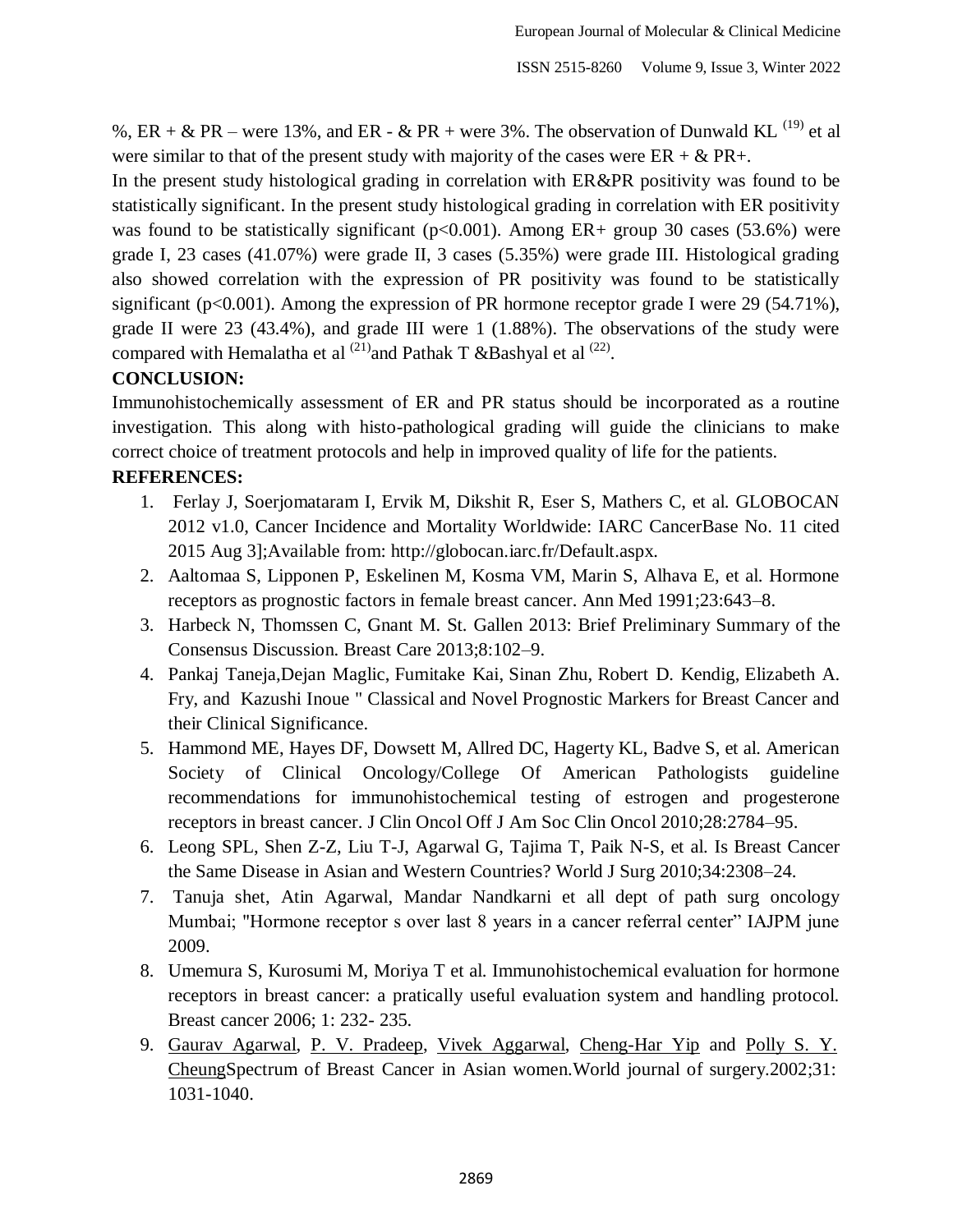%, ER + & PR – were 13%, and ER - & PR + were 3%. The observation of Dunwald KL  $^{(19)}$  et al were similar to that of the present study with majority of the cases were  $ER + \& PR +$ .

In the present study histological grading in correlation with ER&PR positivity was found to be statistically significant. In the present study histological grading in correlation with ER positivity was found to be statistically significant ( $p<0.001$ ). Among ER+ group 30 cases (53.6%) were grade I, 23 cases (41.07%) were grade II, 3 cases (5.35%) were grade III. Histological grading also showed correlation with the expression of PR positivity was found to be statistically significant ( $p<0.001$ ). Among the expression of PR hormone receptor grade I were 29 (54.71%), grade II were 23 (43.4%), and grade III were 1 (1.88%). The observations of the study were compared with Hemalatha et al  $^{(21)}$ and Pathak T &Bashyal et al  $^{(22)}$ .

# **CONCLUSION:**

Immunohistochemically assessment of ER and PR status should be incorporated as a routine investigation. This along with histo-pathological grading will guide the clinicians to make correct choice of treatment protocols and help in improved quality of life for the patients.

# **REFERENCES:**

- 1. Ferlay J, Soerjomataram I, Ervik M, Dikshit R, Eser S, Mathers C, et al. GLOBOCAN 2012 v1.0, Cancer Incidence and Mortality Worldwide: IARC CancerBase No. 11 cited 2015 Aug 3];Available from: http://globocan.iarc.fr/Default.aspx.
- 2. Aaltomaa S, Lipponen P, Eskelinen M, Kosma VM, Marin S, Alhava E, et al. Hormone receptors as prognostic factors in female breast cancer. Ann Med 1991;23:643–8.
- 3. Harbeck N, Thomssen C, Gnant M. St. Gallen 2013: Brief Preliminary Summary of the Consensus Discussion. Breast Care 2013;8:102–9.
- 4. [Pankaj Taneja,](http://www.ncbi.nlm.nih.gov/pubmed/?term=Taneja%20P%5Bauth%5D)[Dejan Maglic,](http://www.ncbi.nlm.nih.gov/pubmed/?term=Maglic%20D%5Bauth%5D) [Fumitake Kai,](http://www.ncbi.nlm.nih.gov/pubmed/?term=Kai%20F%5Bauth%5D) [Sinan Zhu,](http://www.ncbi.nlm.nih.gov/pubmed/?term=Zhu%20S%5Bauth%5D) [Robert D. Kendig,](http://www.ncbi.nlm.nih.gov/pubmed/?term=Kendig%20RD%5Bauth%5D) [Elizabeth A.](http://www.ncbi.nlm.nih.gov/pubmed/?term=Fry%20EA%5Bauth%5D)  [Fry,](http://www.ncbi.nlm.nih.gov/pubmed/?term=Fry%20EA%5Bauth%5D) and [Kazushi Inoue](http://www.ncbi.nlm.nih.gov/pubmed/?term=Inoue%20K%5Bauth%5D) " Classical and Novel Prognostic Markers for Breast Cancer and their Clinical Significance.
- 5. Hammond ME, Hayes DF, Dowsett M, Allred DC, Hagerty KL, Badve S, et al. American Society of Clinical Oncology/College Of American Pathologists guideline recommendations for immunohistochemical testing of estrogen and progesterone receptors in breast cancer. J Clin Oncol Off J Am Soc Clin Oncol 2010;28:2784–95.
- 6. Leong SPL, Shen Z-Z, Liu T-J, Agarwal G, Tajima T, Paik N-S, et al. Is Breast Cancer the Same Disease in Asian and Western Countries? World J Surg 2010;34:2308–24.
- 7. Tanuja shet, Atin Agarwal, Mandar Nandkarni et all dept of path surg oncology Mumbai; "Hormone receptor s over last 8 years in a cancer referral center" IAJPM june 2009.
- 8. Umemura S, Kurosumi M, Moriya T et al. Immunohistochemical evaluation for hormone receptors in breast cancer: a pratically useful evaluation system and handling protocol. Breast cancer 2006; 1: 232- 235.
- 9. [Gaurav Agarwal,](http://www.springerlink.com/content/?Author=Gaurav+Agarwal) [P. V. Pradeep,](http://www.springerlink.com/content/?Author=P.+V.+Pradeep) [Vivek Aggarwal,](http://www.springerlink.com/content/?Author=Vivek+Aggarwal) [Cheng-Har Yip](http://www.springerlink.com/content/?Author=Cheng-Har+Yip) and [Polly S. Y.](http://www.springerlink.com/content/?Author=Polly+S.+Y.+Cheung)  [CheungS](http://www.springerlink.com/content/?Author=Polly+S.+Y.+Cheung)pectrum of Breast Cancer in Asian women.World journal of surgery.2002;31: 1031-1040.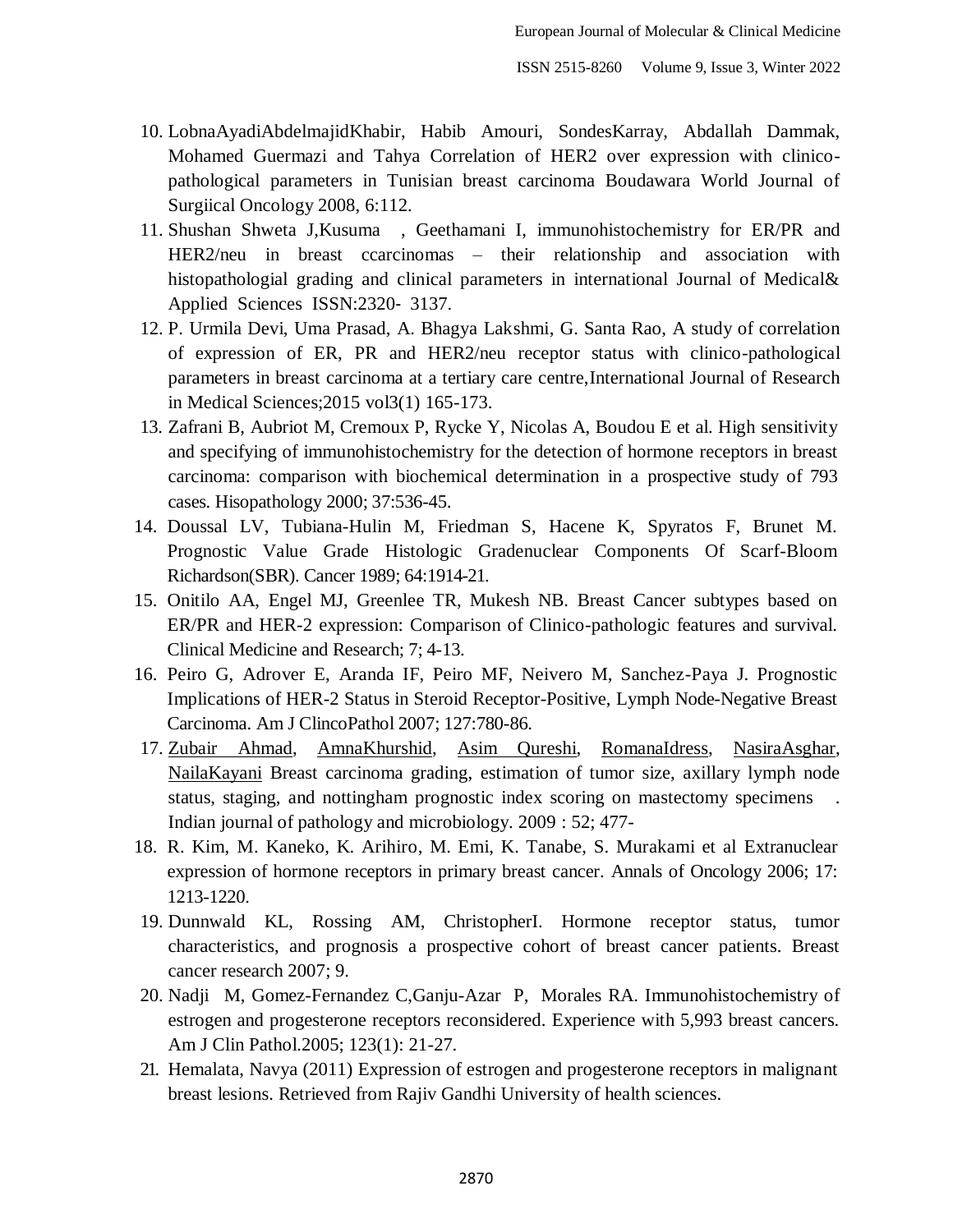- 10. LobnaAyadiAbdelmajidKhabir, Habib Amouri, SondesKarray, Abdallah Dammak, Mohamed Guermazi and Tahya Correlation of HER2 over expression with clinicopathological parameters in Tunisian breast carcinoma Boudawara World Journal of Surgiical Oncology 2008, 6:112.
- 11. Shushan Shweta J,Kusuma , Geethamani I, immunohistochemistry for ER/PR and HER2/neu in breast ccarcinomas – their relationship and association with histopathologial grading and clinical parameters in international Journal of Medical& Applied Sciences ISSN:2320‐ 3137.
- 12. P. Urmila Devi, Uma Prasad, A. Bhagya Lakshmi, G. Santa Rao, A study of correlation of expression of ER, PR and HER2/neu receptor status with clinico-pathological parameters in breast carcinoma at a tertiary care centre,International Journal of Research in Medical Sciences;2015 vol3(1) 165-173.
- 13. Zafrani B, Aubriot M, Cremoux P, Rycke Y, Nicolas A, Boudou E et al. High sensitivity and specifying of immunohistochemistry for the detection of hormone receptors in breast carcinoma: comparison with biochemical determination in a prospective study of 793 cases. Hisopathology 2000; 37:536-45.
- 14. Doussal LV, Tubiana-Hulin M, Friedman S, Hacene K, Spyratos F, Brunet M. Prognostic Value Grade Histologic Gradenuclear Components Of Scarf-Bloom Richardson(SBR). Cancer 1989; 64:1914-21.
- 15. Onitilo AA, Engel MJ, Greenlee TR, Mukesh NB. Breast Cancer subtypes based on ER/PR and HER-2 expression: Comparison of Clinico-pathologic features and survival. Clinical Medicine and Research; 7; 4-13.
- 16. Peiro G, Adrover E, Aranda IF, Peiro MF, Neivero M, Sanchez-Paya J. Prognostic Implications of HER-2 Status in Steroid Receptor-Positive, Lymph Node-Negative Breast Carcinoma. Am J ClincoPathol 2007; 127:780-86.
- 17. [Zubair Ahmad,](http://www.ijpmonline.org/searchresult.asp?search=&author=Zubair+Ahmad&journal=Y&but_search=Search&entries=10&pg=1&s=0) [AmnaKhurshid,](http://www.ijpmonline.org/searchresult.asp?search=&author=Amna+Khurshid&journal=Y&but_search=Search&entries=10&pg=1&s=0) [Asim Qureshi,](http://www.ijpmonline.org/searchresult.asp?search=&author=Asim+Qureshi&journal=Y&but_search=Search&entries=10&pg=1&s=0) [RomanaIdress,](http://www.ijpmonline.org/searchresult.asp?search=&author=Romana+Idress&journal=Y&but_search=Search&entries=10&pg=1&s=0) [NasiraAsghar,](http://www.ijpmonline.org/searchresult.asp?search=&author=Nasira+Asghar&journal=Y&but_search=Search&entries=10&pg=1&s=0) [NailaKayani](http://www.ijpmonline.org/searchresult.asp?search=&author=Naila+Kayani&journal=Y&but_search=Search&entries=10&pg=1&s=0) Breast carcinoma grading, estimation of tumor size, axillary lymph node status, staging, and nottingham prognostic index scoring on mastectomy specimens . Indian journal of pathology and microbiology. 2009 : 52; 477-
- 18. R. Kim, M. Kaneko, K. Arihiro, M. Emi, K. Tanabe, S. Murakami et al Extranuclear expression of hormone receptors in primary breast cancer. Annals of Oncology 2006; 17: 1213-1220.
- 19. Dunnwald KL, Rossing AM, ChristopherI. Hormone receptor status, tumor characteristics, and prognosis a prospective cohort of breast cancer patients. Breast cancer research 2007; 9.
- 20. Nadji M, Gomez-Fernandez C,Ganju-Azar P, Morales RA. Immunohistochemistry of estrogen and progesterone receptors reconsidered. Experience with 5,993 breast cancers. Am J Clin Pathol.2005; 123(1): 21-27.
- 21. Hemalata, Navya (2011) Expression of estrogen and progesterone receptors in malignant breast lesions. Retrieved from Rajiv Gandhi University of health sciences.